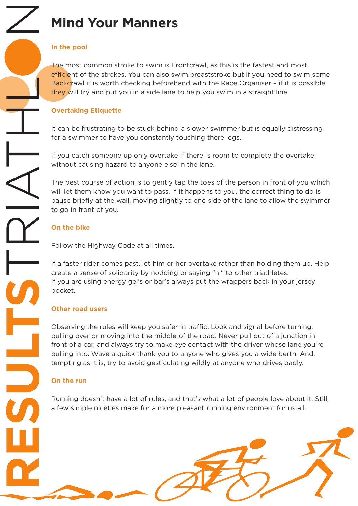# **Mind Your Manners**

### **In the pool**

The most common stroke to swim is Frontcrawl, as this is the fastest and most efficient of the strokes. You can also swim breaststroke but if you need to swim some Backcrawl it is worth checking beforehand with the Race Organiser – if it is possible they will try and put you in a side lane to help you swim in a straight line.

# **Overtaking Etiquette**

It can be frustrating to be stuck behind a slower swimmer but is equally distressing for a swimmer to have you constantly touching there legs.

If you catch someone up only overtake if there is room to complete the overtake without causing hazard to anyone else in the lane.

The best course of action is to gently tap the toes of the person in front of you which will let them know you want to pass. If it happens to you, the correct thing to do is pause briefly at the wall, moving slightly to one side of the lane to allow the swimmer to go in front of you.

# **On the bike**

Follow the Highway Code at all times.

If a faster rider comes past, let him or her overtake rather than holding them up. Help create a sense of solidarity by nodding or saying "hi" to other triathletes. If you are using energy gel's or bar's always put the wrappers back in your jersey pocket.

### **Other road users**

Observing the rules will keep you safer in traffic. Look and signal before turning, pulling over or moving into the middle of the road. Never pull out of a junction in front of a car, and always try to make eye contact with the driver whose lane you're pulling into. Wave a quick thank you to anyone who gives you a wide berth. And, tempting as it is, try to avoid gesticulating wildly at anyone who drives badly.

## **On the run**

Running doesn't have a lot of rules, and that's what a lot of people love about it. Still, a few simple niceties make for a more pleasant running environment for us all.